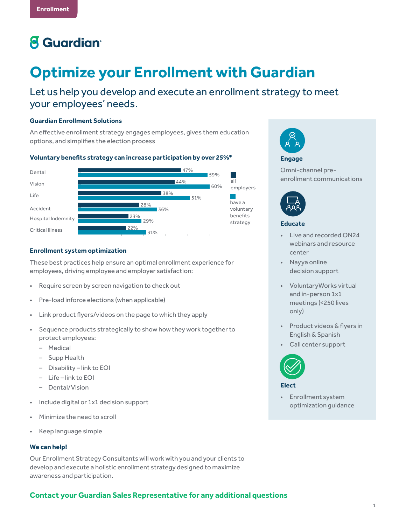# **8** Guardian<sup>®</sup>

# **Optimize your Enrollment with Guardian**

Let us help you develop and execute an enrollment strategy to meet your employees' needs.

### **Guardian Enrollment Solutions**

An effective enrollment strategy engages employees, gives them education options, and simplifies the election process

#### **Voluntary benefits strategy can increase participation by over 25%\***



#### **Enrollment system optimization**

These best practices help ensure an optimal enrollment experience for employees, driving employee and employer satisfaction:

- Require screen by screen navigation to check out
- Pre-load inforce elections (when applicable)
- Link product flyers/videos on the page to which they apply
- Sequence products strategically to show how they work together to protect employees:
	- Medical
	- Supp Health
	- Disability link to EOI
	- Life link to EOI
	- Dental/Vision
- Include digital or 1x1 decision support
- Minimize the need to scroll
- Keep language simple

#### **We can help!**

Our Enrollment Strategy Consultants will work with you and your clients to develop and execute a holistic enrollment strategy designed to maximize awareness and participation.

## **Contact your Guardian Sales Representative for any additional questions**



#### **Engage**

Omni-channel preenrollment communications



#### **Educate**

- Live and recorded ON24 webinars and resource center
- Nayya online decision support
- VoluntaryWorks virtual and in-person 1x1 meetings (<250 lives only)
- Product videos & flyers in English & Spanish
- Call center support



**Elect**

• Enrollment system optimization guidance